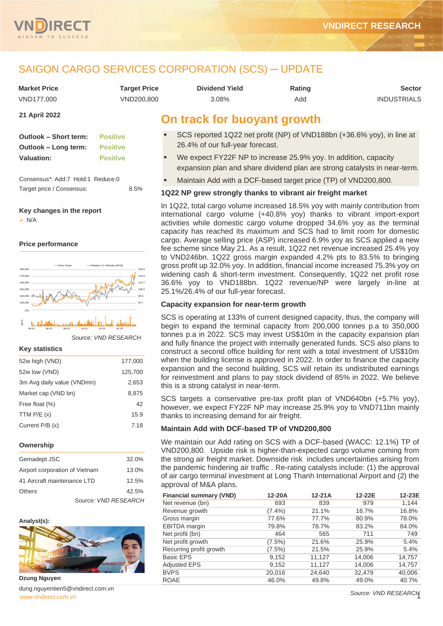

# SAIGON CARGO SERVICES CORPORATION (SCS) ─ UPDATE

| <b>Market Price</b> | <b>Target Price</b> | <b>Dividend Yield</b>       | Rating | <b>Sector</b>      |
|---------------------|---------------------|-----------------------------|--------|--------------------|
| VND177.000          | VND200.800          | 3.08%                       | Add    | <b>INDUSTRIALS</b> |
| 21 April 2022       |                     | On track for buoyant growth |        |                    |

| <b>Outlook – Short term:</b> | <b>Positive</b> |
|------------------------------|-----------------|
| Outlook – Long term:         | <b>Positive</b> |
| <b>Valuation:</b>            | <b>Positive</b> |

Consensus\*: Add:7 Hold:1 Reduce:0 Target price / Consensus: 8.5%

#### **Key changes in the report**

➢ N/A

#### **Price performance**



*Source: VND RESEARCH*

#### **Key statistics**

| 52w high (VND)             | 177,000 |
|----------------------------|---------|
| 52w low (VND)              | 125,700 |
| 3m Avg daily value (VNDmn) | 2,653   |
| Market cap (VND bn)        | 8.875   |
| Free float (%)             | 42      |
| TTM $P/E(x)$               | 15.9    |
| Current $P/B(x)$           | 7.18    |
|                            |         |

#### **Ownership**

| Gemadept JSC                   |                      | 32.0% |
|--------------------------------|----------------------|-------|
| Airport corporation of Vietnam |                      | 13.0% |
| 41 Aircraft maintenance LTD    | 12.5%                |       |
| Others                         |                      | 42.5% |
|                                | Source: VND RESEARCH |       |

#### **Analyst(s):**



**Dzung Nguyen**

[www.vndirect.com.vn](file:///C:/Users/Andre/Downloads/www.vndirect.com.vn) 1 dung.nguyentien5@vndirect.com.vn

| <b>Dividend Yield</b> |  |
|-----------------------|--|
| 3.08%                 |  |

# **buoyant growth**

- SCS reported 1Q22 net profit (NP) of VND188bn (+36.6% yoy), in line at 26.4% of our full-year forecast.
- We expect FY22F NP to increase 25.9% yoy. In addition, capacity expansion plan and share dividend plan are strong catalysts in near-term.
- Maintain Add with a DCF-based target price (TP) of VND200,800.

## **1Q22 NP grew strongly thanks to vibrant air freight market**

In 1Q22, total cargo volume increased 18.5% yoy with mainly contribution from international cargo volume (+40.8% yoy) thanks to vibrant import-export activities while domestic cargo volume dropped 34.6% yoy as the terminal capacity has reached its maximum and SCS had to limit room for domestic cargo. Average selling price (ASP) increased 6.9% yoy as SCS applied a new fee scheme since May 21. As a result, 1Q22 net revenue increased 25.4% yoy to VND246bn. 1Q22 gross margin expanded 4.2% pts to 83.5% to bringing gross profit up 32.0% yoy. In addition, financial income increased 75.3% yoy on widening cash & short-term investment. Consequently, 1Q22 net profit rose 36.6% yoy to VND188bn. 1Q22 revenue/NP were largely in-line at 25.1%/26.4% of our full-year forecast.

## **Capacity expansion for near-term growth**

SCS is operating at 133% of current designed capacity, thus, the company will begin to expand the terminal capacity from 200,000 tonnes p.a to 350,000 tonnes p.a in 2022. SCS may invest US\$10m in the capacity expansion plan and fully finance the project with internally generated funds. SCS also plans to construct a second office building for rent with a total investment of US\$10m when the building license is approved in 2022. In order to finance the capacity expansion and the second building, SCS will retain its undistributed earnings for reinvestment and plans to pay stock dividend of 85% in 2022. We believe this is a strong catalyst in near-term.

SCS targets a conservative pre-tax profit plan of VND640bn (+5.7% yoy), however, we expect FY22F NP may increase 25.9% yoy to VND711bn mainly thanks to increasing demand for air freight.

## **Maintain Add with DCF-based TP of VND200,800**

We maintain our Add rating on SCS with a DCF-based (WACC: 12.1%) TP of VND200,800. Upside risk is higher-than-expected cargo volume coming from the strong air freight market. Downside risk includes uncertainties arising from the pandemic hindering air traffic . Re-rating catalysts include: (1) the approval of air cargo terminal investment at Long Thanh International Airport and (2) the approval of M&A plans.

| <b>Financial summary (VND)</b> | 12-20A    | $12-21A$ | 12-22E | 12-23E |
|--------------------------------|-----------|----------|--------|--------|
| Net revenue (bn)               | 693       | 839      | 979    | 1.144  |
| Revenue growth                 | $(7.4\%)$ | 21.1%    | 16.7%  | 16.8%  |
| Gross margin                   | 77.6%     | 77.7%    | 80.9%  | 78.0%  |
| EBITDA margin                  | 79.8%     | 78.7%    | 83.2%  | 84.0%  |
| Net profit (bn)                | 464       | 565      | 711    | 749    |
| Net profit growth              | $(7.5\%)$ | 21.6%    | 25.9%  | 5.4%   |
| Recurring profit growth        | $(7.5\%)$ | 21.5%    | 25.9%  | 5.4%   |
| <b>Basic EPS</b>               | 9,152     | 11,127   | 14,006 | 14,757 |
| <b>Adjusted EPS</b>            | 9,152     | 11,127   | 14,006 | 14,757 |
| <b>BVPS</b>                    | 20,016    | 24,640   | 32,479 | 40,006 |
| <b>ROAE</b>                    | 46.0%     | 49.8%    | 49.0%  | 40.7%  |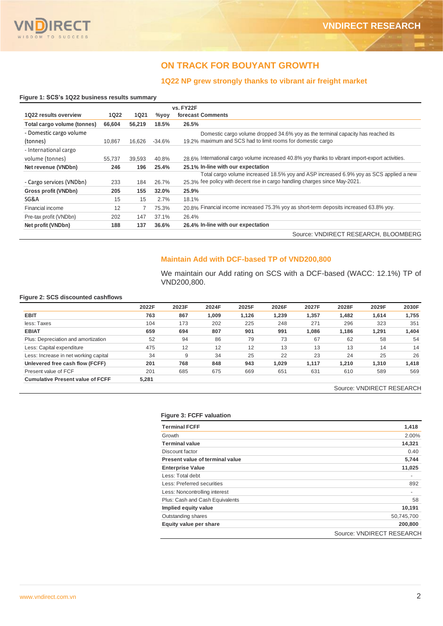

## **ON TRACK FOR BOUYANT GROWTH**

## **1Q22 NP grew strongly thanks to vibrant air freight market**

### **Figure 1: SCS's 1Q22 business results summary**

|                             |        |             |          | vs. FY22F                                                                                        |
|-----------------------------|--------|-------------|----------|--------------------------------------------------------------------------------------------------|
| 1022 results overview       | 1022   | <b>1Q21</b> | $\%$ yoy | forecast Comments                                                                                |
| Total cargo volume (tonnes) | 66,604 | 56.219      | 18.5%    | 26.5%                                                                                            |
| - Domestic cargo volume     |        |             |          | Domestic cargo volume dropped 34.6% yoy as the terminal capacity has reached its                 |
| (tonnes)                    | 10.867 | 16.626      | $-34.6%$ | 19.2% maximum and SCS had to limit rooms for domestic cargo                                      |
| - International cargo       |        |             |          |                                                                                                  |
| volume (tonnes)             | 55.737 | 39,593      | 40.8%    | 28.6% International cargo volume increased 40.8% yoy thanks to vibrant import-export activities. |
| Net revenue (VNDbn)         | 246    | 196         | 25.4%    | 25.1% In-line with our expectation                                                               |
|                             |        |             |          | Total cargo volume increased 18.5% yoy and ASP increased 6.9% yoy as SCS applied a new           |
| - Cargo services (VNDbn)    | 233    | 184         | 26.7%    | 25.3% fee policy with decent rise in cargo handling charges since May-2021.                      |
| Gross profit (VNDbn)        | 205    | 155         | 32.0%    | 25.9%                                                                                            |
| SG&A                        | 15     | 15          | 2.7%     | 18.1%                                                                                            |
| Financial income            | 12     |             | 75.3%    | 20.8% Financial income increased 75.3% yoy as short-term deposits increased 63.8% yoy.           |
| Pre-tax profit (VNDbn)      | 202    | 147         | 37.1%    | 26.4%                                                                                            |
| Net profit (VNDbn)          | 188    | 137         | 36.6%    | 26.4% In-line with our expectation                                                               |
|                             |        |             |          | Source: VNDIRECT RESEARCH, BLOOMBERG                                                             |

## **Maintain Add with DCF-based TP of VND200,800**

We maintain our Add rating on SCS with a DCF-based (WACC: 12.1%) TP of VND200,800.

#### **Figure 2: SCS discounted cashflows**

|                                         | 2022F | 2023F | 2024F | 2025F | 2026F | 2027F | 2028F | 2029F | 2030F |
|-----------------------------------------|-------|-------|-------|-------|-------|-------|-------|-------|-------|
| <b>EBIT</b>                             | 763   | 867   | 1.009 | 1.126 | 1.239 | 1.357 | 1.482 | 1,614 | 1,755 |
| less: Taxes                             | 104   | 173   | 202   | 225   | 248   | 271   | 296   | 323   | 351   |
| <b>EBIAT</b>                            | 659   | 694   | 807   | 901   | 991   | 1,086 | 1,186 | 1.291 | 1,404 |
| Plus: Depreciation and amortization     | 52    | 94    | 86    | 79    | 73    | 67    | 62    | 58    | 54    |
| Less: Capital expenditure               | 475   | 12    | 12    | 12    | 13    | 13    | 13    | 14    | 14    |
| Less: Increase in net working capital   | 34    | 9     | 34    | 25    | 22    | 23    | 24    | 25    | 26    |
| Unlevered free cash flow (FCFF)         | 201   | 768   | 848   | 943   | 1,029 | 1,117 | 1,210 | 1,310 | 1,418 |
| Present value of FCF                    | 201   | 685   | 675   | 669   | 651   | 631   | 610   | 589   | 569   |
| <b>Cumulative Present value of FCFF</b> | 5,281 |       |       |       |       |       |       |       |       |

Source: VNDIRECT RESEARCH

#### **Figure 3: FCFF valuation**

| <b>Terminal FCFF</b>                   | 1,418                     |
|----------------------------------------|---------------------------|
| Growth                                 | 2.00%                     |
| <b>Terminal value</b>                  | 14,321                    |
| Discount factor                        | 0.40                      |
| <b>Present value of terminal value</b> | 5,744                     |
| <b>Enterprise Value</b>                | 11,025                    |
| Less: Total debt                       |                           |
| Less: Preferred securities             | 892                       |
| Less: Noncontrolling interest          | ٠                         |
| Plus: Cash and Cash Equivalents        | 58                        |
| Implied equity value                   | 10,191                    |
| Outstanding shares                     | 50,745,700                |
| Equity value per share                 | 200,800                   |
|                                        | Source: VNDIRECT RESEARCH |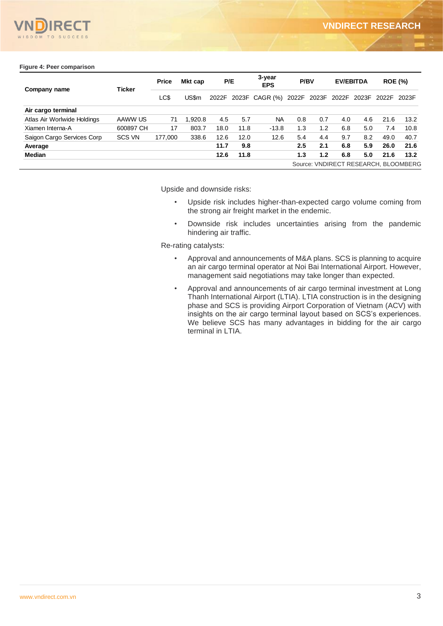

### **Figure 4: Peer comparison**

| Company name                | <b>Ticker</b> | <b>Price</b> | Mkt cap | P/E  |      | 3-year<br><b>EPS</b> | <b>P/BV</b> |       |     | <b>EV/EBITDA</b>  |      | <b>ROE (%)</b>                       |
|-----------------------------|---------------|--------------|---------|------|------|----------------------|-------------|-------|-----|-------------------|------|--------------------------------------|
|                             |               | LC\$         | US\$m   |      |      | 2022F 2023F CAGR (%) | 2022F       | 2023F |     | 2022F 2023F 2022F |      | 2023F                                |
| Air cargo terminal          |               |              |         |      |      |                      |             |       |     |                   |      |                                      |
| Atlas Air Worlwide Holdings | AAWW US       | 71           | 1.920.8 | 4.5  | 5.7  | <b>NA</b>            | 0.8         | 0.7   | 4.0 | 4.6               | 21.6 | 13.2                                 |
| Xiamen Interna-A            | 600897 CH     | 17           | 803.7   | 18.0 | 11.8 | $-13.8$              | 1.3         | 1.2   | 6.8 | 5.0               | 7.4  | 10.8                                 |
| Saigon Cargo Services Corp  | <b>SCS VN</b> | 177.000      | 338.6   | 12.6 | 12.0 | 12.6                 | 5.4         | 4.4   | 9.7 | 8.2               | 49.0 | 40.7                                 |
| Average                     |               |              |         | 11.7 | 9.8  |                      | 2.5         | 2.1   | 6.8 | 5.9               | 26.0 | 21.6                                 |
| <b>Median</b>               |               |              |         | 12.6 | 11.8 |                      | 1.3         | 1.2   | 6.8 | 5.0               | 21.6 | 13.2                                 |
|                             |               |              |         |      |      |                      |             |       |     |                   |      | Source: VNDIRECT RESEARCH, BLOOMBERG |

Upside and downside risks:

- Upside risk includes higher-than-expected cargo volume coming from the strong air freight market in the endemic.
- Downside risk includes uncertainties arising from the pandemic hindering air traffic.

Re-rating catalysts:

- Approval and announcements of M&A plans. SCS is planning to acquire an air cargo terminal operator at Noi Bai International Airport. However, management said negotiations may take longer than expected.
- Approval and announcements of air cargo terminal investment at Long Thanh International Airport (LTIA). LTIA construction is in the designing phase and SCS is providing Airport Corporation of Vietnam (ACV) with insights on the air cargo terminal layout based on SCS's experiences. We believe SCS has many advantages in bidding for the air cargo terminal in LTIA.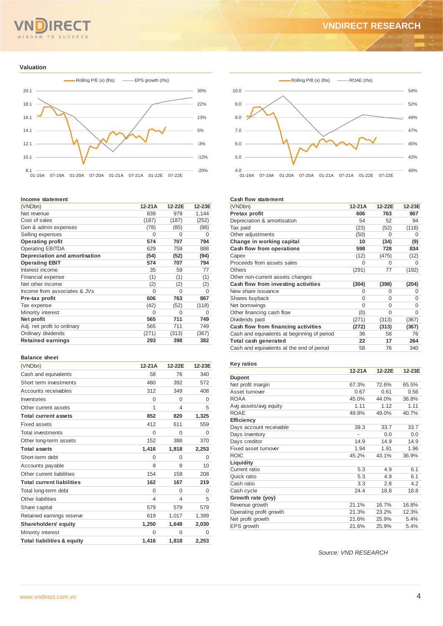#### TO SUCCESS  $M$

## **VNDIRECT RESEARCH**

#### **Valuation**



#### **Income statement**

| (VNDbn)                       | 12-21A   | 12-22E   | 12-23E |
|-------------------------------|----------|----------|--------|
| Net revenue                   | 839      | 979      | 1.144  |
| Cost of sales                 | (187)    | (187)    | (252)  |
| Gen & admin expenses          | (78)     | (85)     | (98)   |
| Selling expenses              | $\Omega$ | $\Omega$ | O      |
| <b>Operating profit</b>       | 574      | 707      | 794    |
| <b>Operating EBITDA</b>       | 629      | 759      | 888    |
| Depreciation and amortisation | (54)     | (52)     | (94)   |
| <b>Operating EBIT</b>         | 574      | 707      | 794    |
| Interest income               | 35       | 59       | 77     |
| Financial expense             | (1)      | (1)      | (1)    |
| Net other income              | (2)      | (2)      | (2)    |
| Income from associates & JVs  | 0        | $\Omega$ | 0      |
| Pre-tax profit                | 606      | 763      | 867    |
| Tax expense                   | (42)     | (52)     | (118)  |
| Minority interest             | 0        | $\Omega$ | O      |
| Net profit                    | 565      | 711      | 749    |
| Adj. net profit to ordinary   | 565      | 711      | 749    |
| Ordinary dividends            | (271)    | (313)    | (367)  |
| <b>Retained earnings</b>      | 293      | 398      | 382    |
|                               |          |          |        |

#### **Balance sheet**

| (VNDbn)                               | 12-21A   | 12-22E   | 12-23E   |
|---------------------------------------|----------|----------|----------|
| Cash and equivalents                  | 58       | 76       | 340      |
| Short term investments                | 480      | 392      | 572      |
| Accounts receivables                  | 312      | 349      | 408      |
| Inventories                           | $\Omega$ | $\Omega$ | $\Omega$ |
| Other current assets                  | 1        | 4        | 5        |
| <b>Total current assets</b>           | 852      | 820      | 1,325    |
| Fixed assets                          | 412      | 611      | 559      |
| <b>Total investments</b>              | $\Omega$ | $\Omega$ | $\Omega$ |
| Other long-term assets                | 152      | 388      | 370      |
| <b>Total assets</b>                   | 1,416    | 1,818    | 2,253    |
| Short-term debt                       | $\Omega$ | $\Omega$ | 0        |
| Accounts payable                      | 8        | 8        | 10       |
| Other current liabilities             | 154      | 159      | 208      |
| <b>Total current liabilities</b>      | 162      | 167      | 219      |
| Total long-term debt                  | $\Omega$ | $\Omega$ | $\Omega$ |
| Other liabilities                     | 4        | 4        | 5        |
| Share capital                         | 579      | 579      | 579      |
| Retained earnings reserve             | 619      | 1,017    | 1,399    |
| <b>Shareholders' equity</b>           | 1,250    | 1,648    | 2,030    |
| Minority interest                     | $\Omega$ | $\Omega$ | $\Omega$ |
| <b>Total liabilities &amp; equity</b> | 1.416    | 1.818    | 2.253    |



#### **Cash flow statement**

| (VNDbn)                                     | 12-21A   | 12-22E   | 12-23E |
|---------------------------------------------|----------|----------|--------|
| <b>Pretax profit</b>                        | 606      | 763      | 867    |
| Depreciation & amortisation                 | 54       | 52       | 94     |
| Tax paid                                    | (23)     | (52)     | (118)  |
| Other adjustments                           | (50)     | O        | O      |
| Change in working capital                   | 10       | (34)     | (9)    |
| Cash flow from operations                   | 598      | 728      | 834    |
| Capex                                       | (12)     | (475)    | (12)   |
| Proceeds from assets sales                  | $\Omega$ | 0        | O      |
| <b>Others</b>                               | (291)    | 77       | (192)  |
| Other non-current assets changes            |          |          |        |
| Cash flow from investing activities         | (304)    | (398)    | (204)  |
| New share issuance                          | $\Omega$ | 0        | 0      |
| Shares buyback                              | $\Omega$ | $\Omega$ | 0      |
| Net borrowings                              | $\Omega$ | $\Omega$ | O      |
| Other financing cash flow                   | (0)      | 0        | O      |
| Dividends paid                              | (271)    | (313)    | (367)  |
| Cash flow from financing activities         | (272)    | (313)    | (367)  |
| Cash and equivalents at beginning of period | 36       | 58       | 76     |
| Total cash generated                        | 22       | 17       | 264    |
| Cash and equivalents at the end of period   | 58       | 76       | 340    |

### **Key ratios**

|                         | 12-21A                       | 12-22E | 12-23E |
|-------------------------|------------------------------|--------|--------|
| <b>Dupont</b>           |                              |        |        |
| Net profit margin       | 67.3%                        | 72.6%  | 65.5%  |
| Asset turnover          | 0.67                         | 0.61   | 0.56   |
| <b>ROAA</b>             | 45.0%                        | 44.0%  | 36.8%  |
| Avg assets/avg equity   | 1.11                         | 1.12   | 1.11   |
| <b>ROAE</b>             | 49.8%                        | 49.0%  | 40.7%  |
| <b>Efficiency</b>       |                              |        |        |
| Days account receivable | 39.3                         | 33.7   | 33.7   |
| Days inventory          | $\qquad \qquad \blacksquare$ | 0.0    | 0.0    |
| Days creditor           | 14.9                         | 14.9   | 14.9   |
| Fixed asset turnover    | 1.94                         | 1.91   | 1.96   |
| <b>ROIC</b>             | 45.2%                        | 43.1%  | 36.9%  |
| Liquidity               |                              |        |        |
| Current ratio           | 5.3                          | 4.9    | 6.1    |
| Quick ratio             | 5.3                          | 4.9    | 6.1    |
| Cash ratio              | 3.3                          | 2.8    | 4.2    |
| Cash cycle              | 24.4                         | 18.8   | 18.8   |
| Growth rate (yoy)       |                              |        |        |
| Revenue growth          | 21.1%                        | 16.7%  | 16.8%  |
| Operating profit growth | 21.3%                        | 23.2%  | 12.3%  |
| Net profit growth       | 21.6%                        | 25.9%  | 5.4%   |
| EPS growth              | 21.6%                        | 25.9%  | 5.4%   |

*Source: VND RESEARCH*